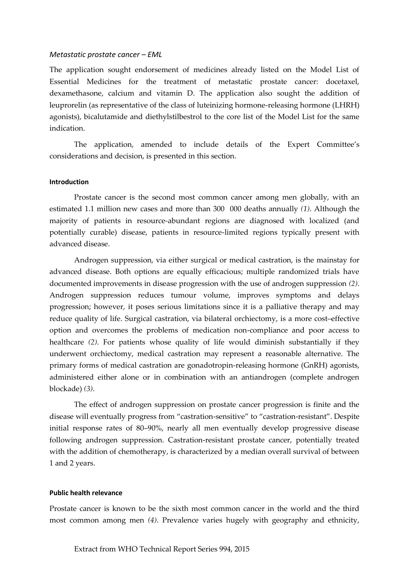## *Metastatic prostate cancer – EML*

The application sought endorsement of medicines already listed on the Model List of Essential Medicines for the treatment of metastatic prostate cancer: docetaxel, dexamethasone, calcium and vitamin D. The application also sought the addition of leuprorelin (as representative of the class of luteinizing hormone-releasing hormone (LHRH) agonists), bicalutamide and diethylstilbestrol to the core list of the Model List for the same indication.

The application, amended to include details of the Expert Committee's considerations and decision, is presented in this section.

## **Introduction**

Prostate cancer is the second most common cancer among men globally, with an estimated 1.1 million new cases and more than 300 000 deaths annually *(1)*. Although the majority of patients in resource-abundant regions are diagnosed with localized (and potentially curable) disease, patients in resource-limited regions typically present with advanced disease.

Androgen suppression, via either surgical or medical castration, is the mainstay for advanced disease. Both options are equally efficacious; multiple randomized trials have documented improvements in disease progression with the use of androgen suppression *(2)*. Androgen suppression reduces tumour volume, improves symptoms and delays progression; however, it poses serious limitations since it is a palliative therapy and may reduce quality of life. Surgical castration, via bilateral orchiectomy, is a more cost–effective option and overcomes the problems of medication non-compliance and poor access to healthcare *(2)*. For patients whose quality of life would diminish substantially if they underwent orchiectomy, medical castration may represent a reasonable alternative. The primary forms of medical castration are gonadotropin-releasing hormone (GnRH) agonists, administered either alone or in combination with an antiandrogen (complete androgen blockade) *(3)*.

The effect of androgen suppression on prostate cancer progression is finite and the disease will eventually progress from "castration-sensitive" to "castration-resistant". Despite initial response rates of 80–90%, nearly all men eventually develop progressive disease following androgen suppression. Castration-resistant prostate cancer, potentially treated with the addition of chemotherapy, is characterized by a median overall survival of between 1 and 2 years.

#### **Public health relevance**

Prostate cancer is known to be the sixth most common cancer in the world and the third most common among men *(4)*. Prevalence varies hugely with geography and ethnicity,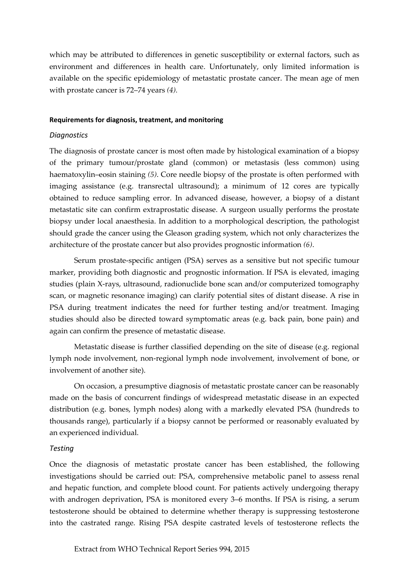which may be attributed to differences in genetic susceptibility or external factors, such as environment and differences in health care. Unfortunately, only limited information is available on the specific epidemiology of metastatic prostate cancer. The mean age of men with prostate cancer is 72–74 years *(4).*

### **Requirements for diagnosis, treatment, and monitoring**

# *Diagnostics*

The diagnosis of prostate cancer is most often made by histological examination of a biopsy of the primary tumour/prostate gland (common) or metastasis (less common) using haematoxylin–eosin staining *(5)*. Core needle biopsy of the prostate is often performed with imaging assistance (e.g. transrectal ultrasound); a minimum of 12 cores are typically obtained to reduce sampling error. In advanced disease, however, a biopsy of a distant metastatic site can confirm extraprostatic disease. A surgeon usually performs the prostate biopsy under local anaesthesia. In addition to a morphological description, the pathologist should grade the cancer using the Gleason grading system, which not only characterizes the architecture of the prostate cancer but also provides prognostic information *(6)*.

Serum prostate-specific antigen (PSA) serves as a sensitive but not specific tumour marker, providing both diagnostic and prognostic information. If PSA is elevated, imaging studies (plain X-rays, ultrasound, radionuclide bone scan and/or computerized tomography scan, or magnetic resonance imaging) can clarify potential sites of distant disease. A rise in PSA during treatment indicates the need for further testing and/or treatment. Imaging studies should also be directed toward symptomatic areas (e.g. back pain, bone pain) and again can confirm the presence of metastatic disease.

Metastatic disease is further classified depending on the site of disease (e.g. regional lymph node involvement, non-regional lymph node involvement, involvement of bone, or involvement of another site).

On occasion, a presumptive diagnosis of metastatic prostate cancer can be reasonably made on the basis of concurrent findings of widespread metastatic disease in an expected distribution (e.g. bones, lymph nodes) along with a markedly elevated PSA (hundreds to thousands range), particularly if a biopsy cannot be performed or reasonably evaluated by an experienced individual.

# *Testing*

Once the diagnosis of metastatic prostate cancer has been established, the following investigations should be carried out: PSA, comprehensive metabolic panel to assess renal and hepatic function, and complete blood count. For patients actively undergoing therapy with androgen deprivation, PSA is monitored every 3–6 months. If PSA is rising, a serum testosterone should be obtained to determine whether therapy is suppressing testosterone into the castrated range. Rising PSA despite castrated levels of testosterone reflects the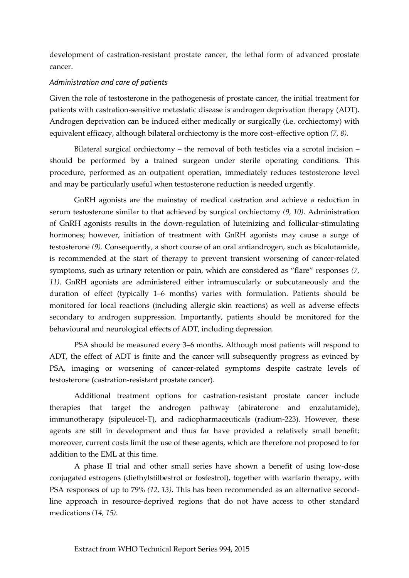development of castration-resistant prostate cancer, the lethal form of advanced prostate cancer.

# *Administration and care of patients*

Given the role of testosterone in the pathogenesis of prostate cancer, the initial treatment for patients with castration-sensitive metastatic disease is androgen deprivation therapy (ADT). Androgen deprivation can be induced either medically or surgically (i.e. orchiectomy) with equivalent efficacy, although bilateral orchiectomy is the more cost–effective option *(7, 8)*.

Bilateral surgical orchiectomy – the removal of both testicles via a scrotal incision – should be performed by a trained surgeon under sterile operating conditions. This procedure, performed as an outpatient operation, immediately reduces testosterone level and may be particularly useful when testosterone reduction is needed urgently.

GnRH agonists are the mainstay of medical castration and achieve a reduction in serum testosterone similar to that achieved by surgical orchiectomy *(9, 10)*. Administration of GnRH agonists results in the down-regulation of luteinizing and follicular-stimulating hormones; however, initiation of treatment with GnRH agonists may cause a surge of testosterone *(9)*. Consequently, a short course of an oral antiandrogen, such as bicalutamide, is recommended at the start of therapy to prevent transient worsening of cancer-related symptoms, such as urinary retention or pain, which are considered as "flare" responses *(7, 11)*. GnRH agonists are administered either intramuscularly or subcutaneously and the duration of effect (typically 1–6 months) varies with formulation. Patients should be monitored for local reactions (including allergic skin reactions) as well as adverse effects secondary to androgen suppression. Importantly, patients should be monitored for the behavioural and neurological effects of ADT, including depression.

PSA should be measured every 3–6 months. Although most patients will respond to ADT, the effect of ADT is finite and the cancer will subsequently progress as evinced by PSA, imaging or worsening of cancer-related symptoms despite castrate levels of testosterone (castration-resistant prostate cancer).

Additional treatment options for castration-resistant prostate cancer include therapies that target the androgen pathway (abiraterone and enzalutamide), immunotherapy (sipuleucel-T), and radiopharmaceuticals (radium-223). However, these agents are still in development and thus far have provided a relatively small benefit; moreover, current costs limit the use of these agents, which are therefore not proposed to for addition to the EML at this time.

A phase II trial and other small series have shown a benefit of using low-dose conjugated estrogens (diethylstilbestrol or fosfestrol), together with warfarin therapy, with PSA responses of up to 79% *(12, 13)*. This has been recommended as an alternative secondline approach in resource-deprived regions that do not have access to other standard medications *(14, 15)*.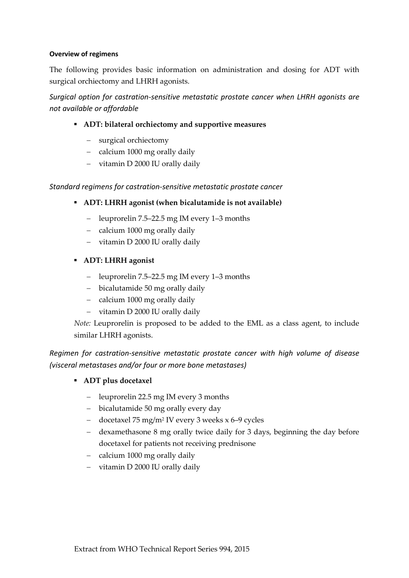# **Overview of regimens**

The following provides basic information on administration and dosing for ADT with surgical orchiectomy and LHRH agonists.

*Surgical option for castration-sensitive metastatic prostate cancer when LHRH agonists are not available or affordable*

- **ADT: bilateral orchiectomy and supportive measures**
	- surgical orchiectomy
	- calcium 1000 mg orally daily
	- vitamin D 2000 IU orally daily

# *Standard regimens for castration-sensitive metastatic prostate cancer*

- **ADT: LHRH agonist (when bicalutamide is not available)**
	- leuprorelin 7.5–22.5 mg IM every 1–3 months
	- calcium 1000 mg orally daily
	- vitamin D 2000 IU orally daily
- **ADT: LHRH agonist**
	- leuprorelin 7.5–22.5 mg IM every 1–3 months
	- bicalutamide 50 mg orally daily
	- calcium 1000 mg orally daily
	- vitamin D 2000 IU orally daily

*Note:* Leuprorelin is proposed to be added to the EML as a class agent, to include similar LHRH agonists.

*Regimen for castration-sensitive metastatic prostate cancer with high volume of disease (visceral metastases and/or four or more bone metastases)* 

- **ADT plus docetaxel**
	- leuprorelin 22.5 mg IM every 3 months
	- bicalutamide 50 mg orally every day
	- docetaxel 75 mg/m<sup>2</sup> IV every 3 weeks x 6–9 cycles
	- dexamethasone 8 mg orally twice daily for 3 days, beginning the day before docetaxel for patients not receiving prednisone
	- calcium 1000 mg orally daily
	- vitamin D 2000 IU orally daily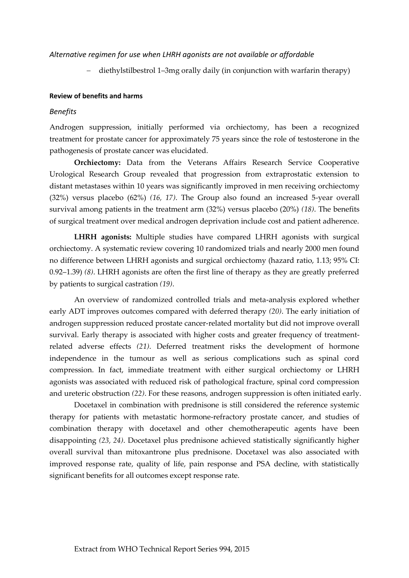## *Alternative regimen for use when LHRH agonists are not available or affordable*

diethylstilbestrol 1–3mg orally daily (in conjunction with warfarin therapy)

### **Review of benefits and harms**

#### *Benefits*

Androgen suppression, initially performed via orchiectomy, has been a recognized treatment for prostate cancer for approximately 75 years since the role of testosterone in the pathogenesis of prostate cancer was elucidated.

**Orchiectomy:** Data from the Veterans Affairs Research Service Cooperative Urological Research Group revealed that progression from extraprostatic extension to distant metastases within 10 years was significantly improved in men receiving orchiectomy (32%) versus placebo (62%) *(16, 17)*. The Group also found an increased 5-year overall survival among patients in the treatment arm (32%) versus placebo (20%) *(18)*. The benefits of surgical treatment over medical androgen deprivation include cost and patient adherence.

**LHRH agonists:** Multiple studies have compared LHRH agonists with surgical orchiectomy. A systematic review covering 10 randomized trials and nearly 2000 men found no difference between LHRH agonists and surgical orchiectomy (hazard ratio, 1.13; 95% CI: 0.92–1.39) *(8)*. LHRH agonists are often the first line of therapy as they are greatly preferred by patients to surgical castration *(19)*.

An overview of randomized controlled trials and meta-analysis explored whether early ADT improves outcomes compared with deferred therapy *(20)*. The early initiation of androgen suppression reduced prostate cancer-related mortality but did not improve overall survival. Early therapy is associated with higher costs and greater frequency of treatmentrelated adverse effects *(21)*. Deferred treatment risks the development of hormone independence in the tumour as well as serious complications such as spinal cord compression. In fact, immediate treatment with either surgical orchiectomy or LHRH agonists was associated with reduced risk of pathological fracture, spinal cord compression and ureteric obstruction *(22)*. For these reasons, androgen suppression is often initiated early.

Docetaxel in combination with prednisone is still considered the reference systemic therapy for patients with metastatic hormone-refractory prostate cancer, and studies of combination therapy with docetaxel and other chemotherapeutic agents have been disappointing *(23, 24)*. Docetaxel plus prednisone achieved statistically significantly higher overall survival than mitoxantrone plus prednisone. Docetaxel was also associated with improved response rate, quality of life, pain response and PSA decline, with statistically significant benefits for all outcomes except response rate.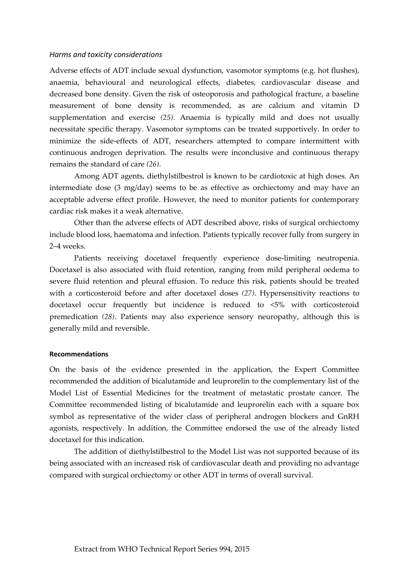### *Harms and toxicity considerations*

Adverse effects of ADT include sexual dysfunction, vasomotor symptoms (e.g. hot flushes), anaemia, behavioural and neurological effects, diabetes, cardiovascular disease and decreased bone density. Given the risk of osteoporosis and pathological fracture, a baseline measurement of bone density is recommended, as are calcium and vitamin D supplementation and exercise *(25)*. Anaemia is typically mild and does not usually necessitate specific therapy. Vasomotor symptoms can be treated supportively. In order to minimize the side-effects of ADT, researchers attempted to compare intermittent with continuous androgen deprivation. The results were inconclusive and continuous therapy remains the standard of care *(26)*.

Among ADT agents, diethylstilbestrol is known to be cardiotoxic at high doses. An intermediate dose (3 mg/day) seems to be as effective as orchiectomy and may have an acceptable adverse effect profile. However, the need to monitor patients for contemporary cardiac risk makes it a weak alternative.

Other than the adverse effects of ADT described above, risks of surgical orchiectomy include blood loss, haematoma and infection. Patients typically recover fully from surgery in 2–4 weeks.

Patients receiving docetaxel frequently experience dose-limiting neutropenia. Docetaxel is also associated with fluid retention, ranging from mild peripheral oedema to severe fluid retention and pleural effusion. To reduce this risk, patients should be treated with a corticosteroid before and after docetaxel doses *(27)*. Hypersensitivity reactions to docetaxel occur frequently but incidence is reduced to <5% with corticosteroid premedication *(28)*. Patients may also experience sensory neuropathy, although this is generally mild and reversible.

#### **Recommendations**

On the basis of the evidence presented in the application, the Expert Committee recommended the addition of bicalutamide and leuprorelin to the complementary list of the Model List of Essential Medicines for the treatment of metastatic prostate cancer. The Committee recommended listing of bicalutamide and leuprorelin each with a square box symbol as representative of the wider class of peripheral androgen blockers and GnRH agonists, respectively. In addition, the Committee endorsed the use of the already listed docetaxel for this indication.

The addition of diethylstilbestrol to the Model List was not supported because of its being associated with an increased risk of cardiovascular death and providing no advantage compared with surgical orchiectomy or other ADT in terms of overall survival.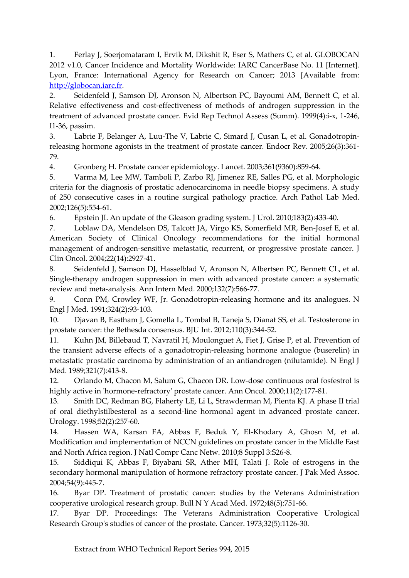1. Ferlay J, Soerjomataram I, Ervik M, Dikshit R, Eser S, Mathers C, et al. GLOBOCAN 2012 v1.0, Cancer Incidence and Mortality Worldwide: IARC CancerBase No. 11 [Internet]. Lyon, France: International Agency for Research on Cancer; 2013 [Available from: [http://globocan.iarc.fr.](http://globocan.iarc.fr/)

2. Seidenfeld J, Samson DJ, Aronson N, Albertson PC, Bayoumi AM, Bennett C, et al. Relative effectiveness and cost-effectiveness of methods of androgen suppression in the treatment of advanced prostate cancer. Evid Rep Technol Assess (Summ). 1999(4):i-x, 1-246, I1-36, passim.

3. Labrie F, Belanger A, Luu-The V, Labrie C, Simard J, Cusan L, et al. Gonadotropinreleasing hormone agonists in the treatment of prostate cancer. Endocr Rev. 2005;26(3):361- 79.

4. Gronberg H. Prostate cancer epidemiology. Lancet. 2003;361(9360):859-64.

5. Varma M, Lee MW, Tamboli P, Zarbo RJ, Jimenez RE, Salles PG, et al. Morphologic criteria for the diagnosis of prostatic adenocarcinoma in needle biopsy specimens. A study of 250 consecutive cases in a routine surgical pathology practice. Arch Pathol Lab Med. 2002;126(5):554-61.

6. Epstein JI. An update of the Gleason grading system. J Urol. 2010;183(2):433-40.

7. Loblaw DA, Mendelson DS, Talcott JA, Virgo KS, Somerfield MR, Ben-Josef E, et al. American Society of Clinical Oncology recommendations for the initial hormonal management of androgen-sensitive metastatic, recurrent, or progressive prostate cancer. J Clin Oncol. 2004;22(14):2927-41.

8. Seidenfeld J, Samson DJ, Hasselblad V, Aronson N, Albertsen PC, Bennett CL, et al. Single-therapy androgen suppression in men with advanced prostate cancer: a systematic review and meta-analysis. Ann Intern Med. 2000;132(7):566-77.

9. Conn PM, Crowley WF, Jr. Gonadotropin-releasing hormone and its analogues. N Engl J Med. 1991;324(2):93-103.

10. Djavan B, Eastham J, Gomella L, Tombal B, Taneja S, Dianat SS, et al. Testosterone in prostate cancer: the Bethesda consensus. BJU Int. 2012;110(3):344-52.

11. Kuhn JM, Billebaud T, Navratil H, Moulonguet A, Fiet J, Grise P, et al. Prevention of the transient adverse effects of a gonadotropin-releasing hormone analogue (buserelin) in metastatic prostatic carcinoma by administration of an antiandrogen (nilutamide). N Engl J Med. 1989;321(7):413-8.

12. Orlando M, Chacon M, Salum G, Chacon DR. Low-dose continuous oral fosfestrol is highly active in 'hormone-refractory' prostate cancer. Ann Oncol. 2000;11(2):177-81.

13. Smith DC, Redman BG, Flaherty LE, Li L, Strawderman M, Pienta KJ. A phase II trial of oral diethylstilbesterol as a second-line hormonal agent in advanced prostate cancer. Urology. 1998;52(2):257-60.

14. Hassen WA, Karsan FA, Abbas F, Beduk Y, El-Khodary A, Ghosn M, et al. Modification and implementation of NCCN guidelines on prostate cancer in the Middle East and North Africa region. J Natl Compr Canc Netw. 2010;8 Suppl 3:S26-8.

15. Siddiqui K, Abbas F, Biyabani SR, Ather MH, Talati J. Role of estrogens in the secondary hormonal manipulation of hormone refractory prostate cancer. J Pak Med Assoc. 2004;54(9):445-7.

16. Byar DP. Treatment of prostatic cancer: studies by the Veterans Administration cooperative urological research group. Bull N Y Acad Med. 1972;48(5):751-66.

17. Byar DP. Proceedings: The Veterans Administration Cooperative Urological Research Group's studies of cancer of the prostate. Cancer. 1973;32(5):1126-30.